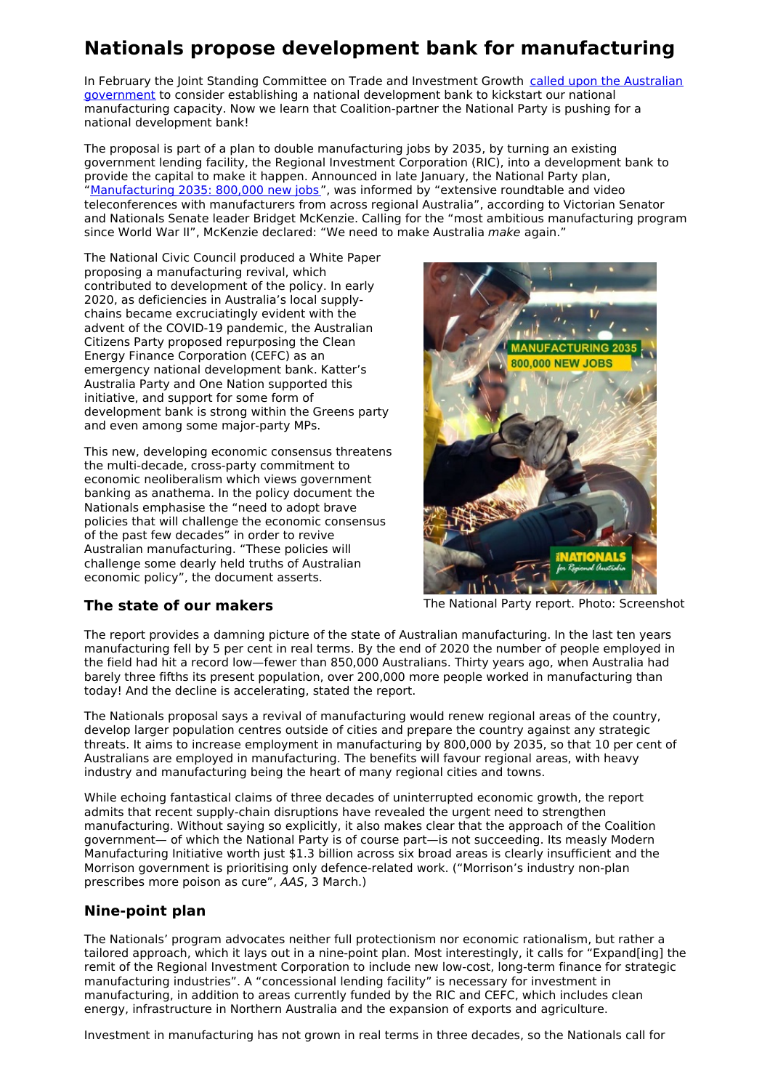## **Nationals propose development bank for manufacturing**

In February the Joint Standing Committee on Trade and Investment Growth called upon the Australian government to consider establishing a national [development](https://citizensparty.org.au/media-releases/breakthrough-government-inquiry-recommends-national-development-bank) bank to kickstart our national manufacturing capacity. Now we learn that Coalition-partner the National Party is pushing for a national development bank!

The proposal is part of a plan to double manufacturing jobs by 2035, by turning an existing government lending facility, the Regional Investment Corporation (RIC), into a development bank to provide the capital to make it happen. Announced in late January, the National Party plan, "[Manufacturing](https://www.bridgetmckenzie.com.au/wp-content/uploads/2021/01/Manufacturing-2035.pdf) 2035: 800,000 new jobs", was informed by "extensive roundtable and video teleconferences with manufacturers from across regional Australia", according to Victorian Senator and Nationals Senate leader Bridget McKenzie. Calling for the "most ambitious manufacturing program since World War II", McKenzie declared: "We need to make Australia make again."

The National Civic Council produced a White Paper proposing a manufacturing revival, which contributed to development of the policy. In early 2020, as deficiencies in Australia's local supplychains became excruciatingly evident with the advent of the COVID-19 pandemic, the Australian Citizens Party proposed repurposing the Clean Energy Finance Corporation (CEFC) as an emergency national development bank. Katter's Australia Party and One Nation supported this initiative, and support for some form of development bank is strong within the Greens party and even among some major-party MPs.

This new, developing economic consensus threatens the multi-decade, cross-party commitment to economic neoliberalism which views government banking as anathema. In the policy document the Nationals emphasise the "need to adopt brave policies that will challenge the economic consensus of the past few decades" in order to revive Australian manufacturing. "These policies will challenge some dearly held truths of Australian economic policy", the document asserts.



## **The state of our makers**

The National Party report. Photo: Screenshot

The report provides a damning picture of the state of Australian manufacturing. In the last ten years manufacturing fell by 5 per cent in real terms. By the end of 2020 the number of people employed in the field had hit a record low—fewer than 850,000 Australians. Thirty years ago, when Australia had barely three fifths its present population, over 200,000 more people worked in manufacturing than today! And the decline is accelerating, stated the report.

The Nationals proposal says a revival of manufacturing would renew regional areas of the country, develop larger population centres outside of cities and prepare the country against any strategic threats. It aims to increase employment in manufacturing by 800,000 by 2035, so that 10 per cent of Australians are employed in manufacturing. The benefits will favour regional areas, with heavy industry and manufacturing being the heart of many regional cities and towns.

While echoing fantastical claims of three decades of uninterrupted economic growth, the report admits that recent supply-chain disruptions have revealed the urgent need to strengthen manufacturing. Without saying so explicitly, it also makes clear that the approach of the Coalition government— of which the National Party is of course part—is not succeeding. Its measly Modern Manufacturing Initiative worth just \$1.3 billion across six broad areas is clearly insufficient and the Morrison government is prioritising only defence-related work. ("Morrison's industry non-plan prescribes more poison as cure", AAS, 3 March.)

## **Nine-point plan**

The Nationals' program advocates neither full protectionism nor economic rationalism, but rather a tailored approach, which it lays out in a nine-point plan. Most interestingly, it calls for "Expand[ing] the remit of the Regional Investment Corporation to include new low-cost, long-term finance for strategic manufacturing industries". A "concessional lending facility" is necessary for investment in manufacturing, in addition to areas currently funded by the RIC and CEFC, which includes clean energy, infrastructure in Northern Australia and the expansion of exports and agriculture.

Investment in manufacturing has not grown in real terms in three decades, so the Nationals call for